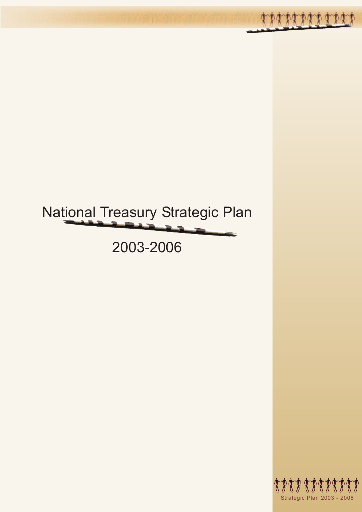# National Treasury Strategic Plan

# 2003-2006

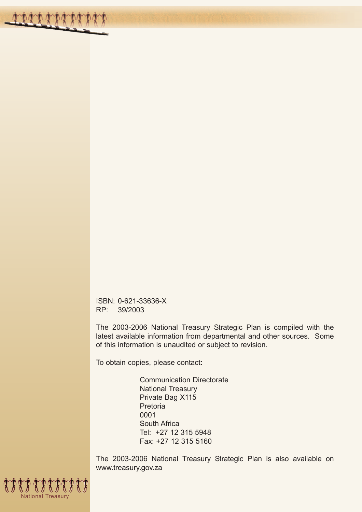ISBN: 0-621-33636-X RP: 39/2003

The 2003-2006 National Treasury Strategic Plan is compiled with the latest available information from departmental and other sources. Some of this information is unaudited or subject to revision.

To obtain copies, please contact:

Communication Directorate National Treasury Private Bag X115 Pretoria 0001 South Africa Tel: +27 12 315 5948 Fax: +27 12 315 5160

The 2003-2006 National Treasury Strategic Plan is also available on www.treasury.gov.za

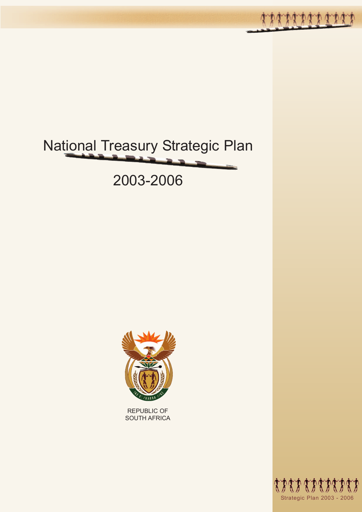# National Treasury Strategic Plan

## 2003-2006

 $\sim$ 



REPUBLIC OF SOUTH AFRICA

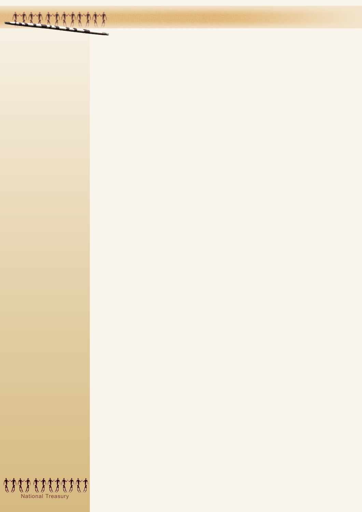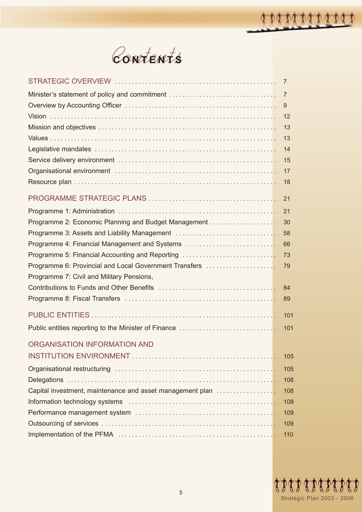Le carreire

*Contents* **CONTENTS**

|                                                           | 7              |
|-----------------------------------------------------------|----------------|
| Minister's statement of policy and commitment             | $\overline{7}$ |
|                                                           | 9              |
|                                                           | 12             |
|                                                           | 13             |
|                                                           | 13             |
|                                                           | 14             |
|                                                           | 15             |
|                                                           | 17             |
|                                                           | 18             |
|                                                           | 21             |
|                                                           | 21             |
|                                                           | 30             |
|                                                           |                |
| Programme 4: Financial Management and Systems             | 66             |
| Programme 5: Financial Accounting and Reporting           | 73             |
| Programme 6: Provincial and Local Government Transfers    | 79             |
| Programme 7: Civil and Military Pensions,                 |                |
|                                                           | 84             |
|                                                           | 89             |
|                                                           | 101            |
|                                                           |                |
|                                                           | 101            |
| <b>ORGANISATION INFORMATION AND</b>                       |                |
|                                                           | 105            |
|                                                           | 105            |
|                                                           | 108            |
| Capital investment, maintenance and asset management plan | 108            |
|                                                           | 108            |
|                                                           | 109            |
|                                                           | 109            |
|                                                           | 110            |

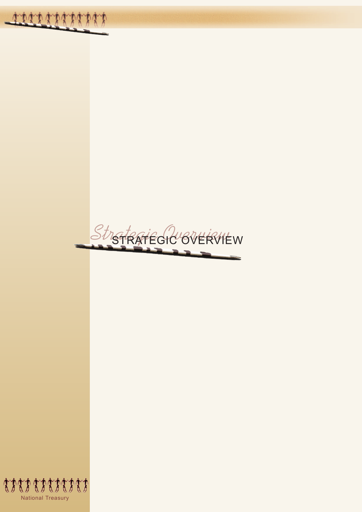

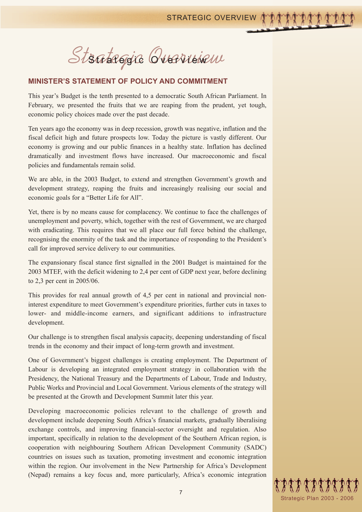Strategic Overview

#### **MINISTER'S STATEMENT OF POLICY AND COMMITMENT**

This year's Budget is the tenth presented to a democratic South African Parliament. In February, we presented the fruits that we are reaping from the prudent, yet tough, economic policy choices made over the past decade.

Ten years ago the economy was in deep recession, growth was negative, inflation and the fiscal deficit high and future prospects low. Today the picture is vastly different. Our economy is growing and our public finances in a healthy state. Inflation has declined dramatically and investment flows have increased. Our macroeconomic and fiscal policies and fundamentals remain solid.

We are able, in the 2003 Budget, to extend and strengthen Government's growth and development strategy, reaping the fruits and increasingly realising our social and economic goals for a "Better Life for All".

Yet, there is by no means cause for complacency. We continue to face the challenges of unemployment and poverty, which, together with the rest of Government, we are charged with eradicating. This requires that we all place our full force behind the challenge, recognising the enormity of the task and the importance of responding to the President's call for improved service delivery to our communities.

The expansionary fiscal stance first signalled in the 2001 Budget is maintained for the 2003 MTEF, with the deficit widening to 2,4 per cent of GDP next year, before declining to 2,3 per cent in 2005/06.

This provides for real annual growth of 4,5 per cent in national and provincial noninterest expenditure to meet Government's expenditure priorities, further cuts in taxes to lower- and middle-income earners, and significant additions to infrastructure development.

Our challenge is to strengthen fiscal analysis capacity, deepening understanding of fiscal trends in the economy and their impact of long-term growth and investment.

One of Government's biggest challenges is creating employment. The Department of Labour is developing an integrated employment strategy in collaboration with the Presidency, the National Treasury and the Departments of Labour, Trade and Industry, Public Works and Provincial and Local Government. Various elements of the strategy will be presented at the Growth and Development Summit later this year.

Developing macroeconomic policies relevant to the challenge of growth and development include deepening South Africa's financial markets, gradually liberalising exchange controls, and improving financial-sector oversight and regulation. Also important, specifically in relation to the development of the Southern African region, is cooperation with neighbouring Southern African Development Community (SADC) countries on issues such as taxation, promoting investment and economic integration within the region. Our involvement in the New Partnership for Africa's Development (Nepad) remains a key focus and, more particularly, Africa's economic integration

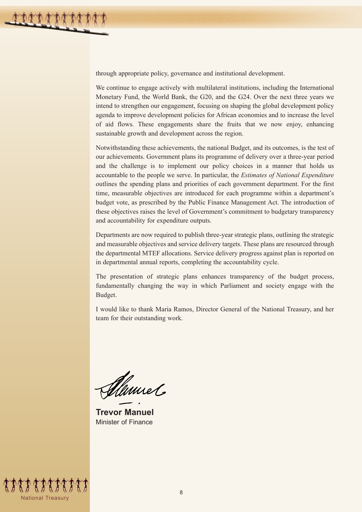through appropriate policy, governance and institutional development.

We continue to engage actively with multilateral institutions, including the International Monetary Fund, the World Bank, the G20, and the G24. Over the next three years we intend to strengthen our engagement, focusing on shaping the global development policy agenda to improve development policies for African economies and to increase the level of aid flows. These engagements share the fruits that we now enjoy, enhancing sustainable growth and development across the region.

Notwithstanding these achievements, the national Budget, and its outcomes, is the test of our achievements. Government plans its programme of delivery over a three-year period and the challenge is to implement our policy choices in a manner that holds us accountable to the people we serve. In particular, the *Estimates of National Expenditure* outlines the spending plans and priorities of each government department. For the first time, measurable objectives are introduced for each programme within a department's budget vote, as prescribed by the Public Finance Management Act. The introduction of these objectives raises the level of Government's commitment to budgetary transparency and accountability for expenditure outputs.

Departments are now required to publish three-year strategic plans, outlining the strategic and measurable objectives and service delivery targets. These plans are resourced through the departmental MTEF allocations. Service delivery progress against plan is reported on in departmental annual reports, completing the accountability cycle.

The presentation of strategic plans enhances transparency of the budget process, fundamentally changing the way in which Parliament and society engage with the Budget.

I would like to thank Maria Ramos, Director General of the National Treasury, and her team for their outstanding work.

Alumel

**Trevor Manuel** Minister of Finance

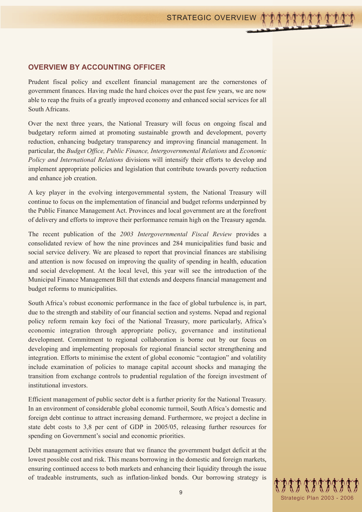#### **OVERVIEW BY ACCOUNTING OFFICER**

Prudent fiscal policy and excellent financial management are the cornerstones of government finances. Having made the hard choices over the past few years, we are now able to reap the fruits of a greatly improved economy and enhanced social services for all South Africans.

Over the next three years, the National Treasury will focus on ongoing fiscal and budgetary reform aimed at promoting sustainable growth and development, poverty reduction, enhancing budgetary transparency and improving financial management. In particular, the *Budget Office, Public Finance, Intergovernmental Relations* and *Economic Policy and International Relations* divisions will intensify their efforts to develop and implement appropriate policies and legislation that contribute towards poverty reduction and enhance job creation.

A key player in the evolving intergovernmental system, the National Treasury will continue to focus on the implementation of financial and budget reforms underpinned by the Public Finance Management Act. Provinces and local government are at the forefront of delivery and efforts to improve their performance remain high on the Treasury agenda.

The recent publication of the *2003 Intergovernmental Fiscal Review* provides a consolidated review of how the nine provinces and 284 municipalities fund basic and social service delivery. We are pleased to report that provincial finances are stabilising and attention is now focused on improving the quality of spending in health, education and social development. At the local level, this year will see the introduction of the Municipal Finance Management Bill that extends and deepens financial management and budget reforms to municipalities.

South Africa's robust economic performance in the face of global turbulence is, in part, due to the strength and stability of our financial section and systems. Nepad and regional policy reform remain key foci of the National Treasury, more particularly, Africa's economic integration through appropriate policy, governance and institutional development. Commitment to regional collaboration is borne out by our focus on developing and implementing proposals for regional financial sector strengthening and integration. Efforts to minimise the extent of global economic "contagion" and volatility include examination of policies to manage capital account shocks and managing the transition from exchange controls to prudential regulation of the foreign investment of institutional investors.

Efficient management of public sector debt is a further priority for the National Treasury. In an environment of considerable global economic turmoil, South Africa's domestic and foreign debt continue to attract increasing demand. Furthermore, we project a decline in state debt costs to 3,8 per cent of GDP in 2005/05, releasing further resources for spending on Government's social and economic priorities.

Debt management activities ensure that we finance the government budget deficit at the lowest possible cost and risk. This means borrowing in the domestic and foreign markets, ensuring continued access to both markets and enhancing their liquidity through the issue of tradeable instruments, such as inflation-linked bonds. Our borrowing strategy is

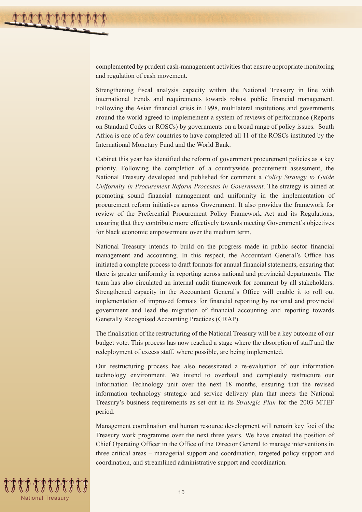complemented by prudent cash-management activities that ensure appropriate monitoring and regulation of cash movement.

Strengthening fiscal analysis capacity within the National Treasury in line with international trends and requirements towards robust public financial management. Following the Asian financial crisis in 1998, multilateral institutions and governments around the world agreed to implemement a system of reviews of performance (Reports on Standard Codes or ROSCs) by governments on a broad range of policy issues. South Africa is one of a few countries to have completed all 11 of the ROSCs instituted by the International Monetary Fund and the World Bank.

Cabinet this year has identified the reform of government procurement policies as a key priority. Following the completion of a countrywide procurement assessment, the National Treasury developed and published for comment a *Policy Strategy to Guide Uniformity in Procurement Reform Processes in Government*. The strategy is aimed at promoting sound financial management and uniformity in the implementation of procurement reform initiatives across Government. It also provides the framework for review of the Preferential Procurement Policy Framework Act and its Regulations, ensuring that they contribute more effectively towards meeting Government's objectives for black economic empowerment over the medium term.

National Treasury intends to build on the progress made in public sector financial management and accounting. In this respect, the Accountant General's Office has initiated a complete process to draft formats for annual financial statements, ensuring that there is greater uniformity in reporting across national and provincial departments. The team has also circulated an internal audit framework for comment by all stakeholders. Strengthened capacity in the Accountant General's Office will enable it to roll out implementation of improved formats for financial reporting by national and provincial government and lead the migration of financial accounting and reporting towards Generally Recognised Accounting Practices (GRAP).

The finalisation of the restructuring of the National Treasury will be a key outcome of our budget vote. This process has now reached a stage where the absorption of staff and the redeployment of excess staff, where possible, are being implemented.

Our restructuring process has also necessitated a re-evaluation of our information technology environment. We intend to overhaul and completely restructure our Information Technology unit over the next 18 months, ensuring that the revised information technology strategic and service delivery plan that meets the National Treasury's business requirements as set out in its *Strategic Plan* for the 2003 MTEF period.

Management coordination and human resource development will remain key foci of the Treasury work programme over the next three years. We have created the position of Chief Operating Officer in the Office of the Director General to manage interventions in three critical areas – managerial support and coordination, targeted policy support and coordination, and streamlined administrative support and coordination.

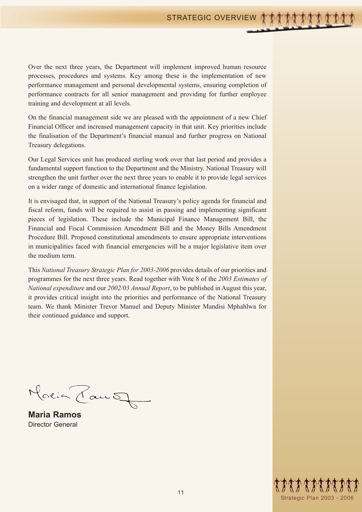Over the next three years, the Department will implement improved human resource processes, procedures and systems. Key among these is the implementation of new performance management and personal developmental systems, ensuring completion of performance contracts for all senior management and providing for further employee training and development at all levels.

On the financial management side we are pleased with the appointment of a new Chief Financial Officer and increased management capacity in that unit. Key priorities include the finalisation of the Department's financial manual and further progress on National Treasury delegations.

Our Legal Services unit has produced sterling work over that last period and provides a fundamental support function to the Department and the Ministry. National Treasury will strengthen the unit further over the next three years to enable it to provide legal services on a wider range of domestic and international finance legislation.

It is envisaged that, in support of the National Treasury's policy agenda for financial and fiscal reform, funds will be required to assist in passing and implementing significant pieces of legislation. These include the Municipal Finance Management Bill, the Financial and Fiscal Commission Amendment Bill and the Money Bills Amendment Procedure Bill. Proposed constitutional amendments to ensure appropriate interventions in municipalities faced with financial emergencies will be a major legislative item over the medium term.

This *National Treasury Strategic Plan for 2003-2006* provides details of our priorities and programmes for the next three years. Read together with Vote 8 of the *2003 Estimates of National expenditure* and our *2002/03 Annual Report*, to be published in August this year, it provides critical insight into the priorities and performance of the National Treasury team. We thank Minister Trevor Manuel and Deputy Minister Mandisi Mphahlwa for their continued guidance and support.

Maria Zan 57

**Maria Ramos** Director General

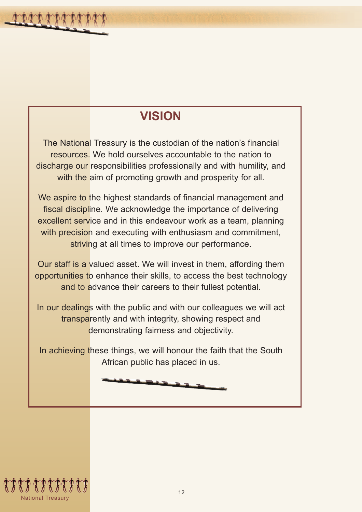### **VISION**

The National Treasury is the custodian of the nation's financial resources. We hold ourselves accountable to the nation to discharge our responsibilities professionally and with humility, and with the aim of promoting growth and prosperity for all.

We aspire to the highest standards of financial management and fiscal discipline. We acknowledge the importance of delivering excellent service and in this endeavour work as a team, planning with precision and executing with enthusiasm and commitment, striving at all times to improve our performance.

Our staff is a valued asset. We will invest in them, affording them opportunities to enhance their skills, to access the best technology and to advance their careers to their fullest potential.

In our dealings with the public and with our colleagues we will act transparently and with integrity, showing respect and demonstrating fairness and objectivity.

In achieving these things, we will honour the faith that the South African public has placed in us.

والمتحلفة

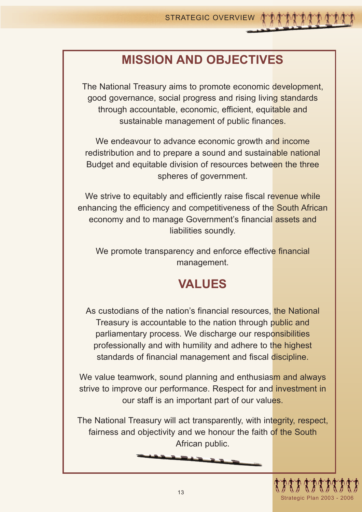### **MISSION AND OBJECTIVES**

The National Treasury aims to promote economic development, good governance, social progress and rising living standards through accountable, economic, efficient, equitable and sustainable management of public finances.

We endeavour to advance economic growth and income redistribution and to prepare a sound and sustainable national Budget and equitable division of resources between the three spheres of government.

We strive to equitably and efficiently raise fiscal revenue while enhancing the efficiency and competitiveness of the South African economy and to manage Government's financial assets and liabilities soundly.

We promote transparency and enforce effective financial management.

### **VALUES**

As custodians of the nation's financial resources, the National Treasury is accountable to the nation through public and parliamentary process. We discharge our responsibilities professionally and with humility and adhere to the highest standards of financial management and fiscal discipline.

We value teamwork, sound planning and enthusiasm and always strive to improve our performance. Respect for and investment in our staff is an important part of our values.

The National Treasury will act transparently, with integrity, respect, fairness and objectivity and we honour the faith of the South African public.

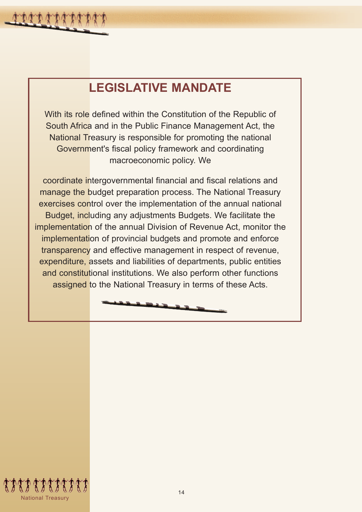With its role defined within the Constitution of the Republic of South Africa and in the Public Finance Management Act, the National Treasury is responsible for promoting the national Government's fiscal policy framework and coordinating macroeconomic policy. We

coordinate intergovernmental financial and fiscal relations and manage the budget preparation process. The National Treasury exercises control over the implementation of the annual national Budget, including any adjustments Budgets. We facilitate the implementation of the annual Division of Revenue Act, monitor the implementation of provincial budgets and promote and enforce transparency and effective management in respect of revenue, expenditure, assets and liabilities of departments, public entities and constitutional institutions. We also perform other functions assigned to the National Treasury in terms of these Acts.



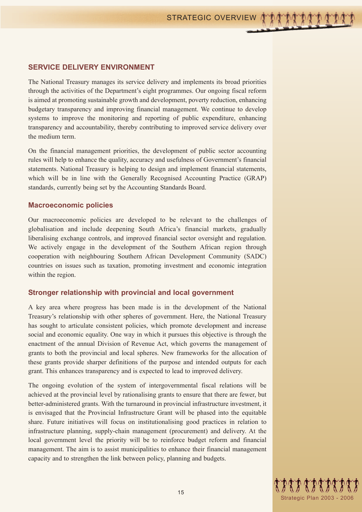#### **SERVICE DELIVERY ENVIRONMENT**

The National Treasury manages its service delivery and implements its broad priorities through the activities of the Department's eight programmes. Our ongoing fiscal reform is aimed at promoting sustainable growth and development, poverty reduction, enhancing budgetary transparency and improving financial management. We continue to develop systems to improve the monitoring and reporting of public expenditure, enhancing transparency and accountability, thereby contributing to improved service delivery over the medium term.

On the financial management priorities, the development of public sector accounting rules will help to enhance the quality, accuracy and usefulness of Government's financial statements. National Treasury is helping to design and implement financial statements, which will be in line with the Generally Recognised Accounting Practice (GRAP) standards, currently being set by the Accounting Standards Board.

#### **Macroeconomic policies**

Our macroeconomic policies are developed to be relevant to the challenges of globalisation and include deepening South Africa's financial markets, gradually liberalising exchange controls, and improved financial sector oversight and regulation. We actively engage in the development of the Southern African region through cooperation with neighbouring Southern African Development Community (SADC) countries on issues such as taxation, promoting investment and economic integration within the region.

#### **Stronger relationship with provincial and local government**

A key area where progress has been made is in the development of the National Treasury's relationship with other spheres of government. Here, the National Treasury has sought to articulate consistent policies, which promote development and increase social and economic equality. One way in which it pursues this objective is through the enactment of the annual Division of Revenue Act, which governs the management of grants to both the provincial and local spheres. New frameworks for the allocation of these grants provide sharper definitions of the purpose and intended outputs for each grant. This enhances transparency and is expected to lead to improved delivery.

The ongoing evolution of the system of intergovernmental fiscal relations will be achieved at the provincial level by rationalising grants to ensure that there are fewer, but better-administered grants. With the turnaround in provincial infrastructure investment, it is envisaged that the Provincial Infrastructure Grant will be phased into the equitable share. Future initiatives will focus on institutionalising good practices in relation to infrastructure planning, supply-chain management (procurement) and delivery. At the local government level the priority will be to reinforce budget reform and financial management. The aim is to assist municipalities to enhance their financial management capacity and to strengthen the link between policy, planning and budgets.

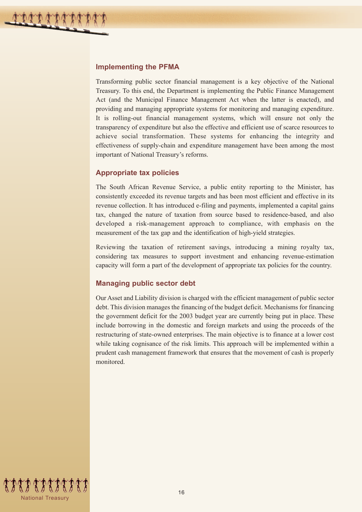Transforming public sector financial management is a key objective of the National Treasury. To this end, the Department is implementing the Public Finance Management Act (and the Municipal Finance Management Act when the latter is enacted), and providing and managing appropriate systems for monitoring and managing expenditure. It is rolling-out financial management systems, which will ensure not only the transparency of expenditure but also the effective and efficient use of scarce resources to achieve social transformation. These systems for enhancing the integrity and effectiveness of supply-chain and expenditure management have been among the most important of National Treasury's reforms.

#### **Appropriate tax policies**

The South African Revenue Service, a public entity reporting to the Minister, has consistently exceeded its revenue targets and has been most efficient and effective in its revenue collection. It has introduced e-filing and payments, implemented a capital gains tax, changed the nature of taxation from source based to residence-based, and also developed a risk-management approach to compliance, with emphasis on the measurement of the tax gap and the identification of high-yield strategies.

Reviewing the taxation of retirement savings, introducing a mining royalty tax, considering tax measures to support investment and enhancing revenue-estimation capacity will form a part of the development of appropriate tax policies for the country.

#### **Managing public sector debt**

Our Asset and Liability division is charged with the efficient management of public sector debt. This division manages the financing of the budget deficit. Mechanisms for financing the government deficit for the 2003 budget year are currently being put in place. These include borrowing in the domestic and foreign markets and using the proceeds of the restructuring of state-owned enterprises. The main objective is to finance at a lower cost while taking cognisance of the risk limits. This approach will be implemented within a prudent cash management framework that ensures that the movement of cash is properly monitored.

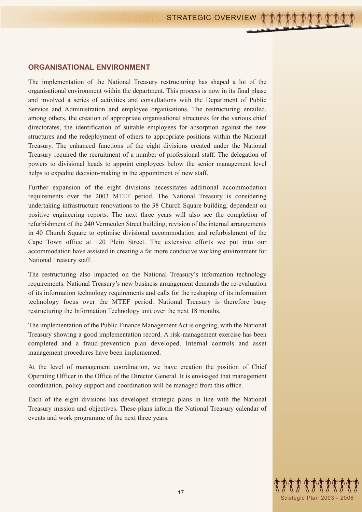#### **ORGANISATIONAL ENVIRONMENT**

The implementation of the National Treasury restructuring has shaped a lot of the organisational environment within the department. This process is now in its final phase and involved a series of activities and consultations with the Department of Public Service and Administration and employee organisations. The restructuring entailed, among others, the creation of appropriate organisational structures for the various chief directorates, the identification of suitable employees for absorption against the new structures and the redeployment of others to appropriate positions within the National Treasury. The enhanced functions of the eight divisions created under the National Treasury required the recruitment of a number of professional staff. The delegation of powers to divisional heads to appoint employees below the senior management level helps to expedite decision-making in the appointment of new staff.

Further expansion of the eight divisions necessitates additional accommodation requirements over the 2003 MTEF period. The National Treasury is considering undertaking infrastructure renovations to the 38 Church Square building, dependent on positive engineering reports. The next three years will also see the completion of refurbishment of the 240 Vermeulen Street building, revision of the internal arrangements in 40 Church Square to optimise divisional accommodation and refurbishment of the Cape Town office at 120 Plein Street. The extensive efforts we put into our accommodation have assisted in creating a far more conducive working environment for National Treasury staff.

The restructuring also impacted on the National Treasury's information technology requirements. National Treasury's new business arrangement demands the re-evaluation of its information technology requirements and calls for the reshaping of its information technology focus over the MTEF period. National Treasury is therefore busy restructuring the Information Technology unit over the next 18 months.

The implementation of the Public Finance Management Act is ongoing, with the National Treasury showing a good implementation record. A risk-management exercise has been completed and a fraud-prevention plan developed. Internal controls and asset management procedures have been implemented.

At the level of management coordination, we have creation the position of Chief Operating Officer in the Office of the Director General. It is envisaged that management coordination, policy support and coordination will be managed from this office.

Each of the eight divisions has developed strategic plans in line with the National Treasury mission and objectives. These plans inform the National Treasury calendar of events and work programme of the next three years.

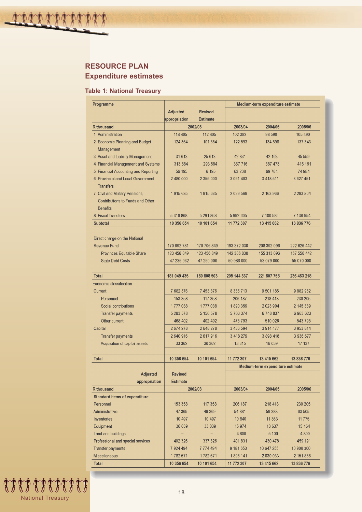#### **RESOURCE PLAN Expenditure estimates**

#### **Table 1: National Treasury**

| Programme                               |                 |                 | Medium-term expenditure estimate |               |             |
|-----------------------------------------|-----------------|-----------------|----------------------------------|---------------|-------------|
|                                         | <b>Adjusted</b> | <b>Revised</b>  |                                  |               |             |
|                                         | appropriation   | <b>Estimate</b> |                                  |               |             |
| R thousand                              | 2002/03         |                 | 2003/04                          | 2004/05       | 2005/06     |
| 1 Administration                        | 118 405         | 112 405         | 102 382                          | 98 598        | 105 490     |
| 2 Economic Planning and Budget          | 124 354         | 101 354         | 122 593                          | 134 598       | 137 343     |
| Management                              |                 |                 |                                  |               |             |
| 3 Asset and Liability Management        | 31 613          | 25 613          | 42 831                           | 42 163        | 45 559      |
| 4 Financial Management and Systems      | 313 584         | 293 584         | 357716                           | 387 473       | 415 191     |
| 5 Financial Accounting and Reporting    | 56 195          | 6 195           | 63 208                           | 69764         | 74984       |
| 6 Provincial and Local Government       | 2 480 000       | 2 355 000       | 3 061 403                        | 3 418 511     | 3 627 451   |
| <b>Transfers</b>                        |                 |                 |                                  |               |             |
| 7 Civil and Military Pensions,          | 1915635         | 1915635         | 2029569                          | 2 163 966     | 2 293 804   |
| <b>Contributions to Funds and Other</b> |                 |                 |                                  |               |             |
| <b>Benefits</b>                         |                 |                 |                                  |               |             |
| 8 Fiscal Transfers                      | 5 316 868       | 5 291 868       | 5 992 605                        | 7 100 589     | 7 136 954   |
| <b>Subtotal</b>                         | 10 356 654      | 10 101 654      | 11 772 307                       | 13 415 662    | 13 836 776  |
|                                         |                 |                 |                                  |               |             |
| Direct charge on the National           |                 |                 |                                  |               |             |
| <b>Revenue Fund</b>                     | 170 692 781     | 170 706 849     | 193 372 030                      | 208 392 096   | 222 626 442 |
| Provinces Equitable Share               | 123 456 849     | 123 456 849     | 142 386 030                      | 155 313 096   | 167 556 442 |
| <b>State Debt Costs</b>                 | 47 235 932      | 47 250 000      | 50 986 000                       | 53 079 000    | 55 070 000  |
|                                         |                 |                 |                                  |               |             |
| <b>Total</b>                            | 181 049 435     | 180 808 503     | 205 144 337                      | 221 807 758   | 236 463 218 |
| Economic classification                 |                 |                 |                                  |               |             |
| Current                                 | 7 682 376       | 7 453 376       | 8 3 3 5 7 1 3                    | 9 501 185     | 9882962     |
| Personnel                               | 153 358         | 117 358         | 206 187                          | 218 418       | 230 205     |
| Social contributions                    | 1777038         | 1777038         | 1890359                          | 2 0 2 3 9 0 4 | 2 145 339   |
| <b>Transfer payments</b>                | 5 283 578       | 5 156 578       | 5 763 374                        | 6748837       | 6 963 623   |
| Other current                           | 468 402         | 402 402         | 475 793                          | 510 026       | 543 795     |
| Capital                                 | 2674278         | 2648278         | 3 436 594                        | 3 9 14 4 7 7  | 3 953 814   |
| <b>Transfer payments</b>                | 2640916         | 2617916         | 3 418 279                        | 3 898 418     | 3 936 677   |
| Acquisition of capital assets           | 33 362          | 30 362          | 18 3 15                          | 16 059        | 17 137      |
|                                         |                 |                 |                                  |               |             |
| <b>Total</b>                            | 10 356 654      | 10 101 654      | 11 772 307                       | 13 415 662    | 13 836 776  |
|                                         |                 |                 | Medium-term expenditure estimate |               |             |
| <b>Adjusted</b>                         | <b>Revised</b>  |                 |                                  |               |             |
| appropriation                           | <b>Estimate</b> |                 |                                  |               |             |
| <b>R</b> thousand                       |                 | 2002/03         | 2003/04                          | 2004/05       | 2005/06     |
| <b>Standard items of expenditure</b>    |                 |                 |                                  |               |             |
| Personnel                               | 153 358         | 117 358         | 206 187                          | 218 418       | 230 205     |
| Administrative                          | 47 369          | 46 369          | 54 881                           | 59 388        | 63 505      |
| Inventories                             | 10 497          | 10 497          | 10 840                           | 11 353        | 11775       |
| Equipment                               | 36 039          | 33 039          | 15 974                           | 13 637        | 15 164      |
| Land and buildings                      | -               |                 | 4800                             | 5 100         | 4 8 0 0     |
| Professional and special services       | 402 326         | 337 326         | 401831                           | 430 478       | 459 191     |
| <b>Transfer payments</b>                | 7 924 494       | 7774494         | 9 181 653                        | 10 647 255    | 10 900 300  |
| <b>Miscellaneous</b>                    | 1782571         | 1782 571        | 1896 141                         | 2 030 033     | 2 151 836   |
| Total                                   | 10 356 654      | 10 101 654      | 11 772 307                       | 13 415 662    | 13 836 776  |

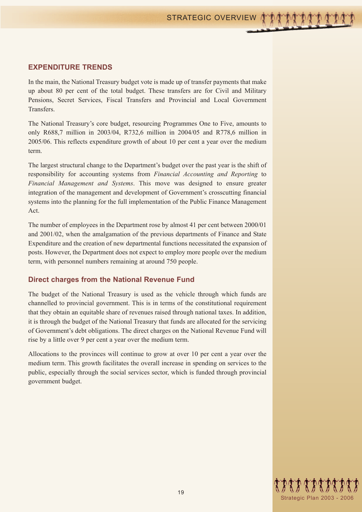#### **EXPENDITURE TRENDS**

In the main, the National Treasury budget vote is made up of transfer payments that make up about 80 per cent of the total budget. These transfers are for Civil and Military Pensions, Secret Services, Fiscal Transfers and Provincial and Local Government Transfers.

The National Treasury's core budget, resourcing Programmes One to Five, amounts to only R688,7 million in 2003/04, R732,6 million in 2004/05 and R778,6 million in 2005/06. This reflects expenditure growth of about 10 per cent a year over the medium term.

The largest structural change to the Department's budget over the past year is the shift of responsibility for accounting systems from *Financial Accounting and Reporting* to *Financial Management and Systems*. This move was designed to ensure greater integration of the management and development of Government's crosscutting financial systems into the planning for the full implementation of the Public Finance Management Act.

The number of employees in the Department rose by almost 41 per cent between 2000/01 and 2001/02, when the amalgamation of the previous departments of Finance and State Expenditure and the creation of new departmental functions necessitated the expansion of posts. However, the Department does not expect to employ more people over the medium term, with personnel numbers remaining at around 750 people.

#### **Direct charges from the National Revenue Fund**

The budget of the National Treasury is used as the vehicle through which funds are channelled to provincial government. This is in terms of the constitutional requirement that they obtain an equitable share of revenues raised through national taxes. In addition, it is through the budget of the National Treasury that funds are allocated for the servicing of Government's debt obligations. The direct charges on the National Revenue Fund will rise by a little over 9 per cent a year over the medium term.

Allocations to the provinces will continue to grow at over 10 per cent a year over the medium term. This growth facilitates the overall increase in spending on services to the public, especially through the social services sector, which is funded through provincial government budget.

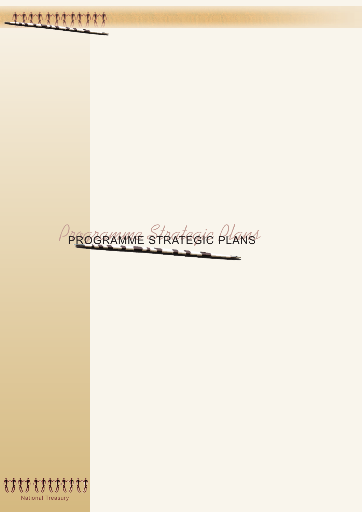

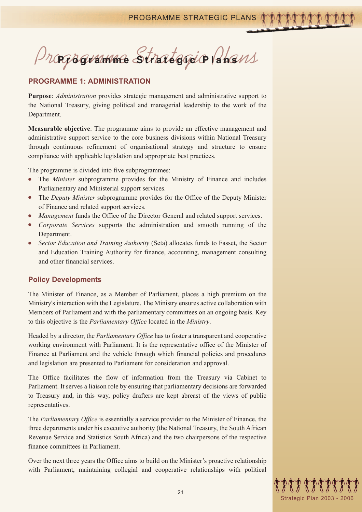*Programme Strategic Plans* **Programme Strategic Plans**

#### **PROGRAMME 1: ADMINISTRATION**

**Purpose**: *Administration* provides strategic management and administrative support to the National Treasury, giving political and managerial leadership to the work of the Department.

**Measurable objective**: The programme aims to provide an effective management and administrative support service to the core business divisions within National Treasury through continuous refinement of organisational strategy and structure to ensure compliance with applicable legislation and appropriate best practices.

The programme is divided into five subprogrammes:

- The *Minister* subprogramme provides for the Ministry of Finance and includes Parliamentary and Ministerial support services.
- The *Deputy Minister* subprogramme provides for the Office of the Deputy Minister of Finance and related support services.
- *Management* funds the Office of the Director General and related support services.
- *Corporate Services* supports the administration and smooth running of the Department.
- *Sector Education and Training Authority* (Seta) allocates funds to Fasset, the Sector and Education Training Authority for finance, accounting, management consulting and other financial services.

#### **Policy Developments**

The Minister of Finance, as a Member of Parliament, places a high premium on the Ministry's interaction with the Legislature. The Ministry ensures active collaboration with Members of Parliament and with the parliamentary committees on an ongoing basis. Key to this objective is the *Parliamentary Office* located in the *Ministry*.

Headed by a director, the *Parliamentary Office* has to foster a transparent and cooperative working environment with Parliament. It is the representative office of the Minister of Finance at Parliament and the vehicle through which financial policies and procedures and legislation are presented to Parliament for consideration and approval.

The Office facilitates the flow of information from the Treasury via Cabinet to Parliament. It serves a liaison role by ensuring that parliamentary decisions are forwarded to Treasury and, in this way, policy drafters are kept abreast of the views of public representatives.

The *Parliamentary Office* is essentially a service provider to the Minister of Finance, the three departments under his executive authority (the National Treasury, the South African Revenue Service and Statistics South Africa) and the two chairpersons of the respective finance committees in Parliament.

Over the next three years the Office aims to build on the Minister's proactive relationship with Parliament, maintaining collegial and cooperative relationships with political